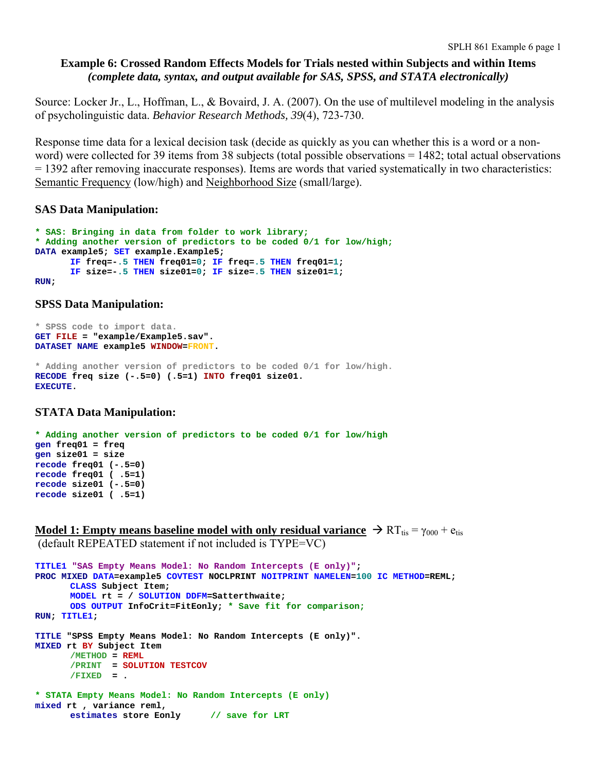# **Example 6: Crossed Random Effects Models for Trials nested within Subjects and within Items**  *(complete data, syntax, and output available for SAS, SPSS, and STATA electronically)*

Source: Locker Jr., L., Hoffman, L., & Bovaird, J. A. (2007). On the use of multilevel modeling in the analysis of psycholinguistic data. *Behavior Research Methods, 39*(4), 723-730.

Response time data for a lexical decision task (decide as quickly as you can whether this is a word or a nonword) were collected for 39 items from 38 subjects (total possible observations = 1482; total actual observations = 1392 after removing inaccurate responses). Items are words that varied systematically in two characteristics: Semantic Frequency (low/high) and Neighborhood Size (small/large).

# **SAS Data Manipulation:**

```
* SAS: Bringing in data from folder to work library;
* Adding another version of predictors to be coded 0/1 for low/high;
DATA example5; SET example.Example5; 
       IF freq=-.5 THEN freq01=0; IF freq=.5 THEN freq01=1; 
       IF size=-.5 THEN size01=0; IF size=.5 THEN size01=1; 
RUN;
```
### **SPSS Data Manipulation:**

```
* SPSS code to import data. 
GET FILE = "example/Example5.sav". 
DATASET NAME example5 WINDOW=FRONT. 
* Adding another version of predictors to be coded 0/1 for low/high. 
RECODE freq size (-.5=0) (.5=1) INTO freq01 size01. 
EXECUTE.
```
# **STATA Data Manipulation:**

```
* Adding another version of predictors to be coded 0/1 for low/high 
gen freq01 = freq 
gen size01 = size 
recode freq01 (-.5=0) 
recode freq01 ( .5=1) 
recode size01 (-.5=0) 
recode size01 ( .5=1)
```
**Model 1: Empty means baseline model with only residual variance**  $\rightarrow RT_{\text{tis}} = \gamma_{000} + e_{\text{tis}}$ (default REPEATED statement if not included is TYPE=VC)

```
TITLE1 "SAS Empty Means Model: No Random Intercepts (E only)"; 
PROC MIXED DATA=example5 COVTEST NOCLPRINT NOITPRINT NAMELEN=100 IC METHOD=REML; 
       CLASS Subject Item; 
      MODEL rt = / SOLUTION DDFM=Satterthwaite; 
      ODS OUTPUT InfoCrit=FitEonly; * Save fit for comparison;
RUN; TITLE1; 
TITLE "SPSS Empty Means Model: No Random Intercepts (E only)". 
MIXED rt BY Subject Item 
      /METHOD = REML
       /PRINT = SOLUTION TESTCOV 
       /FIXED = . 
* STATA Empty Means Model: No Random Intercepts (E only) 
mixed rt , variance reml, 
       estimates store Eonly // save for LRT
```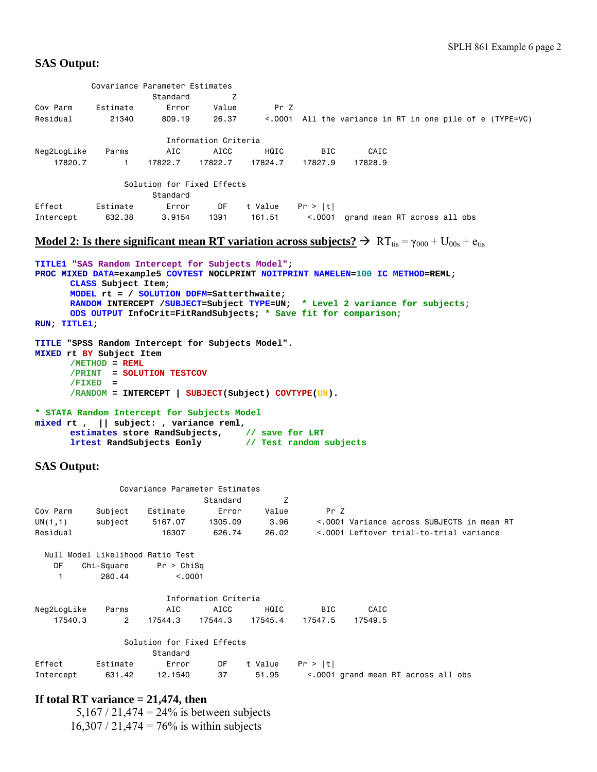# **SAS Output:**

|                                                                                         |                                | Covariance Parameter Estimates<br>Standard                                                                   | Z                    |                   |            |         |                                                                                                                                                                  |
|-----------------------------------------------------------------------------------------|--------------------------------|--------------------------------------------------------------------------------------------------------------|----------------------|-------------------|------------|---------|------------------------------------------------------------------------------------------------------------------------------------------------------------------|
| Cov Parm<br>Residual                                                                    | Estimate<br>21340              | Error<br>809,19                                                                                              | Value<br>26.37       | Pr Z              |            |         | <.0001 All the variance in RT in one pile of e (TYPE=VC)                                                                                                         |
|                                                                                         |                                |                                                                                                              | Information Criteria |                   |            |         |                                                                                                                                                                  |
| Neg2LogLike                                                                             | Parms                          | AIC                                                                                                          | AICC                 | HQIC              | <b>BIC</b> | CAIC    |                                                                                                                                                                  |
| 17820.7                                                                                 | $\mathbf{1}$                   | 17822.7                                                                                                      | 17822.7              | 17824.7           | 17827.9    | 17828.9 |                                                                                                                                                                  |
|                                                                                         |                                | Solution for Fixed Effects<br>Standard                                                                       |                      |                   |            |         |                                                                                                                                                                  |
| Effect<br>Intercept                                                                     | Estimate<br>632.38             | Error<br>3.9154                                                                                              | DF<br>1391           | t Value<br>161.51 | Pr >  t    |         | <.0001 grand mean RT across all obs                                                                                                                              |
|                                                                                         |                                |                                                                                                              |                      |                   |            |         |                                                                                                                                                                  |
|                                                                                         |                                |                                                                                                              |                      |                   |            |         | <b>Model 2:</b> Is there significant mean RT variation across subjects? $\rightarrow$ RT <sub>tis</sub> = $\gamma_{000}$ + U <sub>00s</sub> + e <sub>tis</sub>   |
| TITLE1 "SAS Random Intercept for Subjects Model";<br>RUN; TITLE1;                       | CLASS Subject Item;            | MODEL rt = / SOLUTION DDFM=Satterthwaite;<br>ODS OUTPUT InfoCrit=FitRandSubjects; * Save fit for comparison; |                      |                   |            |         | PROC MIXED DATA=example5 COVTEST NOCLPRINT NOITPRINT NAMELEN=100 IC METHOD=REML;<br>RANDOM INTERCEPT / SUBJECT=Subject TYPE=UN; * Level 2 variance for subjects; |
| TITLE "SPSS Random Intercept for Subjects Model".<br>MIXED rt BY Subject Item           | $/METHOD = REML$<br>$/FIXED =$ | /PRINT = SOLUTION TESTCOV<br>$/$ RANDOM = INTERCEPT   SUBJECT(Subject) COVTYPE(UN).                          |                      |                   |            |         |                                                                                                                                                                  |
| * STATA Random Intercept for Subjects Model<br>mixed rt, $  $ subject: , variance reml, |                                | estimates store RandSubjects, // save for LRT<br>lrtest RandSubjects Eonly // Test random subjects           |                      |                   |            |         |                                                                                                                                                                  |
| <b>SAS Output:</b>                                                                      |                                |                                                                                                              |                      |                   |            |         |                                                                                                                                                                  |
|                                                                                         |                                | Covariance Parameter Estimates                                                                               |                      |                   |            |         |                                                                                                                                                                  |
|                                                                                         |                                |                                                                                                              | Standard             | Ζ                 |            |         |                                                                                                                                                                  |
| Cov Parm                                                                                | Subject                        | Estimate                                                                                                     | Error                | Value             | Pr Z       |         |                                                                                                                                                                  |
| UN(1,1)<br>Residual                                                                     | subject                        | 5167.07<br>16307                                                                                             | 1305.09<br>626.74    | 3.96<br>26.02     |            |         | <.0001 Variance across SUBJECTS in mean RT<br><.0001 Leftover trial-to-trial variance                                                                            |
|                                                                                         |                                | Null Model Likelihood Ratio Test                                                                             |                      |                   |            |         |                                                                                                                                                                  |
| DF                                                                                      | Chi-Square                     | Pr > Chisq                                                                                                   |                      |                   |            |         |                                                                                                                                                                  |
| $\mathbf{1}$                                                                            | 280.44                         | < .0001                                                                                                      |                      |                   |            |         |                                                                                                                                                                  |
|                                                                                         |                                |                                                                                                              | Information Criteria |                   |            |         |                                                                                                                                                                  |
| Neg2LogLike                                                                             | Parms                          | AIC                                                                                                          | <b>AICC</b>          | HQIC              | BIC        | CAIC    |                                                                                                                                                                  |
| 17540.3                                                                                 | 2                              | 17544.3                                                                                                      | 17544.3              | 17545.4           | 17547.5    | 17549.5 |                                                                                                                                                                  |
|                                                                                         |                                | Solution for Fixed Effects                                                                                   |                      |                   |            |         |                                                                                                                                                                  |

|        |          | Standard |                    |                                                                       |
|--------|----------|----------|--------------------|-----------------------------------------------------------------------|
| Effect | Estimate | Error    | DF tValue Pr > Itl |                                                                       |
|        |          |          |                    | Intercept 631.42 12.1540 37 51.95 <.0001 grand mean RT across all obs |

# **If total RT variance = 21,474, then**

 5,167 / 21,474 = 24% is between subjects  $16,307 / 21,474 = 76\%$  is within subjects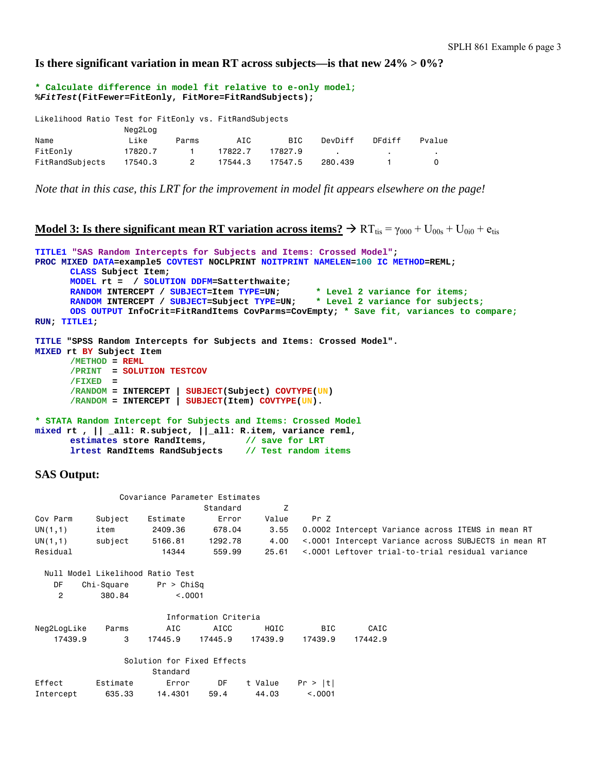**Is there significant variation in mean RT across subjects—is that new 24% > 0%?** 

**\* Calculate difference in model fit relative to e-only model; %***FitTest***(FitFewer=FitEonly, FitMore=FitRandSubjects);**  Likelihood Ratio Test for FitEonly vs. FitRandSubjects Neg<sub>2</sub>Log

| Name            | Like    | Parms | AIC     | BIC             | DevDiff | DFdiff | Pvalue |
|-----------------|---------|-------|---------|-----------------|---------|--------|--------|
| FitEonly        | 17820.7 |       | 17822.7 | 17827.9         |         |        |        |
| FitRandSubjects | 17540.3 | 2     |         | 17544.3 17547.5 | 280.439 |        |        |

*Note that in this case, this LRT for the improvement in model fit appears elsewhere on the page!* 

```
Model 3: Is there significant mean RT variation across items? \rightarrow RT<sub>tis</sub> = \gamma_{000} + U<sub>00s</sub> + U<sub>0i0</sub> + e<sub>tis</sub>
```

```
TITLE1 "SAS Random Intercepts for Subjects and Items: Crossed Model"; 
PROC MIXED DATA=example5 COVTEST NOCLPRINT NOITPRINT NAMELEN=100 IC METHOD=REML; 
      CLASS Subject Item; 
      MODEL rt = / SOLUTION DDFM=Satterthwaite; 
      RANDOM INTERCEPT / SUBJECT=Item TYPE=UN; * Level 2 variance for items;
      RANDOM INTERCEPT / SUBJECT=Subject TYPE=UN; * Level 2 variance for subjects; 
      ODS OUTPUT InfoCrit=FitRandItems CovParms=CovEmpty; * Save fit, variances to compare;
RUN; TITLE1; 
TITLE "SPSS Random Intercepts for Subjects and Items: Crossed Model". 
MIXED rt BY Subject Item 
      /METHOD = REML
       /PRINT = SOLUTION TESTCOV 
       /FIXED = 
       /RANDOM = INTERCEPT | SUBJECT(Subject) COVTYPE(UN) 
       /RANDOM = INTERCEPT | SUBJECT(Item) COVTYPE(UN). 
* STATA Random Intercept for Subjects and Items: Crossed Model
```

```
mixed rt , || _all: R.subject, ||_all: R.item, variance reml, 
       estimates store RandItems, \frac{1}{8} // save for LRT
       lrtest RandItems RandSubjects // Test random items
```

```
SAS Output:
```

|                |            | Covariance Parameter Estimates   |                      |         |          |         |                                                      |  |
|----------------|------------|----------------------------------|----------------------|---------|----------|---------|------------------------------------------------------|--|
|                |            |                                  | Standard             | Z       |          |         |                                                      |  |
| Cov Parm       | Subject    | Estimate                         | Error                | Value   | Pr Z     |         |                                                      |  |
| UN(1,1)        | item       | 2409.36                          | 678.04               | 3.55    |          |         | 0.0002 Intercept Variance across ITEMS in mean RT    |  |
| UN(1,1)        | subject    | 5166.81                          | 1292.78              | 4.00    |          |         | <.0001 Intercept Variance across SUBJECTS in mean RT |  |
| Residual       |            | 14344                            | 559.99               | 25,61   |          |         | <.0001 Leftover trial-to-trial residual variance     |  |
|                |            | Null Model Likelihood Ratio Test |                      |         |          |         |                                                      |  |
| DF.            | Chi-Square | Pr > Chisq                       |                      |         |          |         |                                                      |  |
| $\overline{2}$ | 380.84     | < 0.0001                         |                      |         |          |         |                                                      |  |
|                |            |                                  | Information Criteria |         |          |         |                                                      |  |
| Neg2LogLike    | Parms      | AIC                              | AICC                 | HQIC    | BIC      | CAIC    |                                                      |  |
| 17439.9        | 3          | 17445.9                          | 17445.9              | 17439.9 | 17439.9  | 17442.9 |                                                      |  |
|                |            | Solution for Fixed Effects       |                      |         |          |         |                                                      |  |
|                |            | Standard                         |                      |         |          |         |                                                      |  |
| Effect         | Estimate   | Error                            | DF                   | t Value | Pr >  t  |         |                                                      |  |
| Intercept      | 635.33     | 14.4301                          | 59.4                 | 44.03   | < 0.0001 |         |                                                      |  |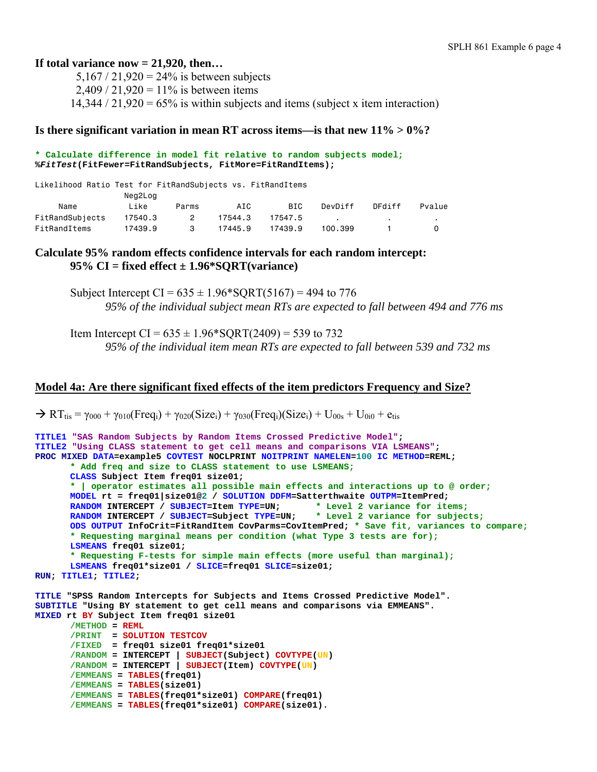# **If total variance now = 21,920, then…**

 $5.167 / 21.920 = 24\%$  is between subjects  $2,409 / 21,920 = 11\%$  is between items  $14,344 / 21,920 = 65\%$  is within subjects and items (subject x item interaction)

## **Is there significant variation in mean RT across items—is that new 11% > 0%?**

#### **\* Calculate difference in model fit relative to random subjects model; %***FitTest***(FitFewer=FitRandSubjects, FitMore=FitRandItems);**

| Likelihood Ratio Test for FitRandSubjects vs. FitRandItems |         |                |         |         |         |        |        |
|------------------------------------------------------------|---------|----------------|---------|---------|---------|--------|--------|
|                                                            | Neg2Log |                |         |         |         |        |        |
| Name                                                       | Like    | Parms          | AIC     | BIC     | DevDiff | DFdiff | Pvalue |
| FitRandSubjects                                            | 17540.3 | $\overline{2}$ | 17544.3 | 17547.5 |         |        |        |
| FitRandItems                                               | 17439.9 | 3              | 17445.9 | 17439.9 | 100.399 |        |        |

# **Calculate 95% random effects confidence intervals for each random intercept: 95% CI = fixed effect ± 1.96\*SQRT(variance)**

Subject Intercept CI =  $635 \pm 1.96*$  SQRT(5167) = 494 to 776 *95% of the individual subject mean RTs are expected to fall between 494 and 776 ms* 

Item Intercept CI =  $635 \pm 1.96*$  SORT(2409) = 539 to 732 *95% of the individual item mean RTs are expected to fall between 539 and 732 ms* 

### **Model 4a: Are there significant fixed effects of the item predictors Frequency and Size?**

```
\rightarrow RT<sub>tis</sub> = \gamma_{000} + \gamma_{010}(Freq<sub>i</sub>) + \gamma_{020}(Size<sub>i</sub>) + \gamma_{030}(Freq<sub>i</sub>)(Size<sub>i</sub>) + U<sub>00s</sub> + U<sub>0i0</sub> + e<sub>tis</sub>
```

```
TITLE1 "SAS Random Subjects by Random Items Crossed Predictive Model"; 
TITLE2 "Using CLASS statement to get cell means and comparisons VIA LSMEANS"; 
PROC MIXED DATA=example5 COVTEST NOCLPRINT NOITPRINT NAMELEN=100 IC METHOD=REML; 
      * Add freq and size to CLASS statement to use LSMEANS;
      CLASS Subject Item freq01 size01; 
      * | operator estimates all possible main effects and interactions up to @ order;
      MODEL rt = freq01|size01@2 / SOLUTION DDFM=Satterthwaite OUTPM=ItemPred; 
      RANDOM INTERCEPT / SUBJECT=Item TYPE=UN; * Level 2 variance for items;
      RANDOM INTERCEPT / SUBJECT=Subject TYPE=UN;
      ODS OUTPUT InfoCrit=FitRandItem CovParms=CovItemPred; * Save fit, variances to compare;
      * Requesting marginal means per condition (what Type 3 tests are for);
      LSMEANS freq01 size01; 
      * Requesting F-tests for simple main effects (more useful than marginal);
      LSMEANS freq01*size01 / SLICE=freq01 SLICE=size01; 
RUN; TITLE1; TITLE2; 
TITLE "SPSS Random Intercepts for Subjects and Items Crossed Predictive Model". 
SUBTITLE "Using BY statement to get cell means and comparisons via EMMEANS". 
MIXED rt BY Subject Item freq01 size01 
      /METHOD = REML
       /PRINT = SOLUTION TESTCOV 
       /FIXED = freq01 size01 freq01*size01 
      /RANDOM = INTERCEPT | SUBJECT(Subject) COVTYPE(UN) 
      /RANDOM = INTERCEPT | SUBJECT(Item) COVTYPE(UN)
```

```
/EMMEANS = TABLES(freq01) 
/EMMEANS = TABLES(size01)
```

```
/EMMEANS = TABLES(freq01*size01) COMPARE(freq01) 
/EMMEANS = TABLES(freq01*size01) COMPARE(size01).
```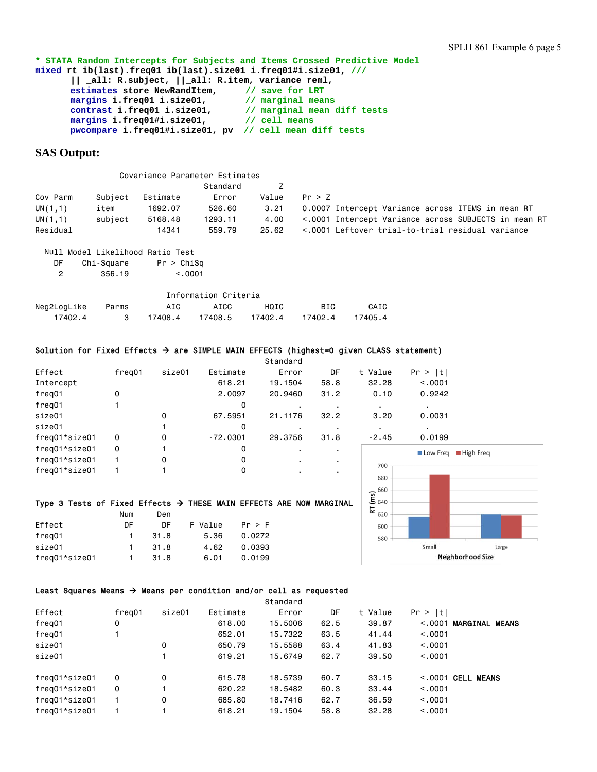\* STATA Random Intercepts for Subjects and Items Crossed Predictive Model **mixe ed rt ib(las st).freq01 i ib(last).si ize01 i.freq q01#i.size0 01, /// || \_all: R.subject, , ||\_all: R. .item, vari iance reml, estimates store NewRandItem, margins i.freq01 i. .size01, contrast t i.freq01 i i.size01, margins i.freq01#i. .size01, pwcompar re i.freq01# #i.size01, p pv // cell l mean diff tests // save e for LRT // marg ginal means // marg ginal mean sdiff tests // cell l means**

## **SAS** Output:

|          |         |          | Covariance Parameter Estimates |       |                                                      |
|----------|---------|----------|--------------------------------|-------|------------------------------------------------------|
|          |         |          | Standard                       |       |                                                      |
| Cov Parm | Subject | Estimate | Error                          | Value | Pr > 7                                               |
| UN(1,1)  | item    | 1692.07  | 526.60                         | 3.21  | 0.0007 Intercept Variance across ITEMS in mean RT    |
| UN(1,1)  | subiect | 5168.48  | 1293.11                        | 4.00  | <.0001 Intercept Variance across SUBJECTS in mean RT |
| Residual |         | 14341    | 559.79                         | 25.62 | <.0001 Leftover trial-to-trial residual variance     |

|             |         |            | Null Model Likelihood Ratio Test |                      |         |         |         |
|-------------|---------|------------|----------------------------------|----------------------|---------|---------|---------|
| DF          |         | Chi-Square | Pr > ChiSq                       |                      |         |         |         |
| 2           |         | 356.19     | < 0.001                          |                      |         |         |         |
|             |         |            |                                  | Information Criteria |         |         |         |
| Neg2LogLike |         | Parms      | AIC                              | AICC                 | HQIC    | BIC.    | CAIC    |
|             | 17402.4 | 3          | 17408.4                          | 17408.5              | 17402.4 | 17402.4 | 17405.4 |

### Solution for Fixed Effects → are SIMPLE MAIN EFFECTS (highest=0 given CLASS statement)

|               |          |        |            | Standard |      |         |                 |
|---------------|----------|--------|------------|----------|------|---------|-----------------|
| Effect        | freg01   | size01 | Estimate   | Error    | DF   | t Value | Pr >  t         |
| Intercept     |          |        | 618.21     | 19.1504  | 58.8 | 32.28   | < 0.001         |
| freg01        | $\Omega$ |        | 2,0097     | 20,9460  | 31.2 | 0.10    | 0.9242          |
| freg01        |          |        | 0          |          |      |         |                 |
| size01        |          | 0      | 67.5951    | 21.1176  | 32.2 | 3.20    | 0.0031          |
| size01        |          |        | 0          |          |      |         |                 |
| freg01*size01 | 0        | 0      | $-72.0301$ | 29,3756  | 31.8 | $-2.45$ | 0.0199          |
| freg01*size01 | 0        |        | 0          |          |      |         | <b>Low Freq</b> |
| freg01*size01 |          | 0      | 0          |          |      |         |                 |
| freg01*size01 |          |        |            |          |      | 700     |                 |
|               |          |        |            |          |      |         |                 |

### Type 3 Tests of Fixed Effects → THESE MAIN EFFECTS ARE NOW MARGINAL

|               | Num | Den  |         |        |
|---------------|-----|------|---------|--------|
| Effect        | DF. | DF   | F Value | Pr > F |
| freg01        | 1.  | 31.8 | 5.36    | 0.0272 |
| size01        | 1.  | 31.8 | 4.62    | 0.0393 |
| freg01*size01 | 1.  | 31.8 | 6.01    | 0.0199 |



#### Least Squares Means  $\rightarrow$  Means per condition and/or cell as requested

|               |        |        |          | Standard |      |         |          |                       |
|---------------|--------|--------|----------|----------|------|---------|----------|-----------------------|
| Effect        | freg01 | size01 | Estimate | Error    | DF   | t Value | Pr >  t  |                       |
| freg01        | 0      |        | 618,00   | 15,5006  | 62.5 | 39.87   | < 0.001  | <b>MARGINAL MEANS</b> |
| freg01        |        |        | 652,01   | 15,7322  | 63.5 | 41.44   | < 0.001  |                       |
| size01        |        | 0      | 650.79   | 15,5588  | 63.4 | 41.83   | < 0.0001 |                       |
| size01        |        |        | 619.21   | 15.6749  | 62.7 | 39.50   | < 0.0001 |                       |
| freg01*size01 | 0      | 0      | 615.78   | 18,5739  | 60.7 | 33.15   |          | $<$ .0001 CELL MEANS  |
| freg01*size01 | 0      |        | 620.22   | 18,5482  | 60.3 | 33.44   | < 0.0001 |                       |
| freg01*size01 |        | 0      | 685,80   | 18,7416  | 62.7 | 36.59   | < 0.0001 |                       |
| freg01*size01 |        |        | 618.21   | 19.1504  | 58.8 | 32.28   | < 0.001  |                       |
|               |        |        |          |          |      |         |          |                       |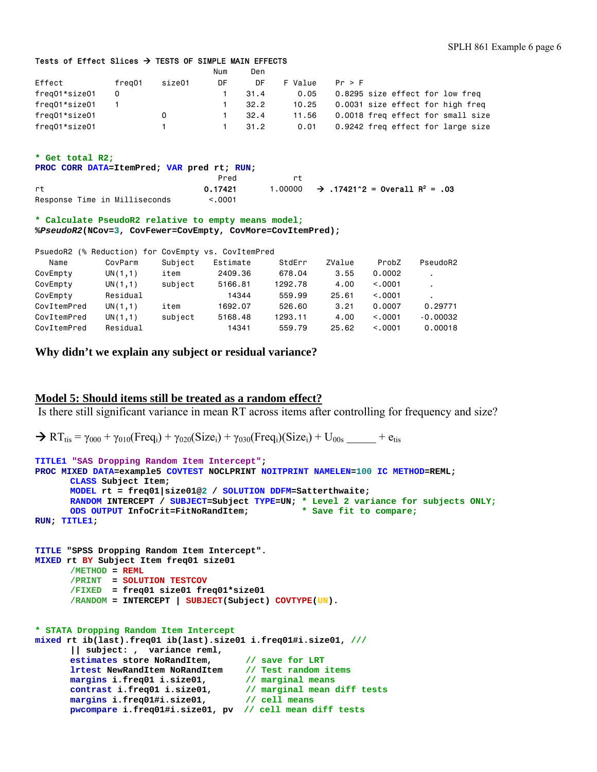#### Tests of Effect Slices  $\rightarrow$  TESTS OF SIMPLE MAIN EFFECTS

|               |        |        | Num | Den  |         |                                   |
|---------------|--------|--------|-----|------|---------|-----------------------------------|
| Effect        | freg01 | size01 | DF  | DF   | F Value | Pr > F                            |
| freg01*size01 | 0      |        |     | 31.4 | 0.05    | 0.8295 size effect for low freq   |
| freg01*size01 |        |        |     | 32.2 | 10.25   | 0.0031 size effect for high freg  |
| freg01*size01 |        | 0      |     | 32.4 | 11.56   | 0.0018 freq effect for small size |
| freg01*size01 |        |        |     | 31.2 | 0.01    | 0.9242 freq effect for large size |
|               |        |        |     |      |         |                                   |

#### **\* Get total R2;**

**PROC CORR DATA=ItemPred; VAR pred rt; RUN;**

|                               | Pred    |                                                               |
|-------------------------------|---------|---------------------------------------------------------------|
| rt                            | 0.17421 | 1.00000 $\rightarrow$ .17421^2 = 0verall R <sup>2</sup> = .03 |
| Response Time in Milliseconds | < 0.001 |                                                               |

#### **\* Calculate PseudoR2 relative to empty means model; %***PseudoR2***(NCov=3, CovFewer=CovEmpty, CovMore=CovItemPred);**

|             |          |         | PsuedoR2 (% Reduction) for CovEmpty vs. CovItemPred |         |        |         |            |
|-------------|----------|---------|-----------------------------------------------------|---------|--------|---------|------------|
| Name        | CovParm  | Subject | Estimate                                            | StdErr  | ZValue | ProbZ   | PseudoR2   |
| CovEmpty    | UN(1,1)  | item    | 2409.36                                             | 678.04  | 3.55   | 0.0002  |            |
| CovEmpty    | UN(1,1)  | subject | 5166.81                                             | 1292.78 | 4.00   | < 0.001 |            |
| CovEmpty    | Residual |         | 14344                                               | 559.99  | 25.61  | < 0.001 |            |
| CovItemPred | UN(1,1)  | item    | 1692.07                                             | 526.60  | 3.21   | 0.0007  | 0.29771    |
| CovItemPred | UN(1,1)  | subject | 5168.48                                             | 1293.11 | 4.00   | < 0.001 | $-0.00032$ |
| CovItemPred | Residual |         | 14341                                               | 559.79  | 25.62  | < 0.001 | 0.00018    |

**Why didn't we explain any subject or residual variance?** 

### **Model 5: Should items still be treated as a random effect?**

Is there still significant variance in mean RT across items after controlling for frequency and size?

```
\rightarrow RT_{\text{tis}} = \gamma_{000} + \gamma_{010}(Freq_i) + \gamma_{020}(Size_i) + \gamma_{030}(Freq_i)(Size_i) + U_{00s} + etis
```

```
TITLE1 "SAS Dropping Random Item Intercept"; 
PROC MIXED DATA=example5 COVTEST NOCLPRINT NOITPRINT NAMELEN=100 IC METHOD=REML; 
      CLASS Subject Item; 
      MODEL rt = freq01|size01@2 / SOLUTION DDFM=Satterthwaite; 
      RANDOM INTERCEPT / SUBJECT=Subject TYPE=UN; * Level 2 variance for subjects ONLY; 
      ODS OUTPUT InfoCrit=FitNoRandItem; * Save fit to compare;
RUN; TITLE1; 
TITLE "SPSS Dropping Random Item Intercept". 
MIXED rt BY Subject Item freq01 size01 
      /METHOD = REML
       /PRINT = SOLUTION TESTCOV 
       /FIXED = freq01 size01 freq01*size01 
      /RANDOM = INTERCEPT | SUBJECT(Subject) COVTYPE(UN). 
* STATA Dropping Random Item Intercept 
mixed rt ib(last).freq01 ib(last).size01 i.freq01#i.size01, ///
       || subject: , variance reml, 
      estimates store NoRandItem, // save for LRT 
      lrtest NewRandItem NoRandItem // Test random items
       margins i.freq01 i.size01, // marginal means
       contrast i.freq01 i.size01, // marginal mean diff tests
       margins i.freq01#i.size01, // cell means
      pwcompare i.freq01#i.size01, pv // cell mean diff tests
```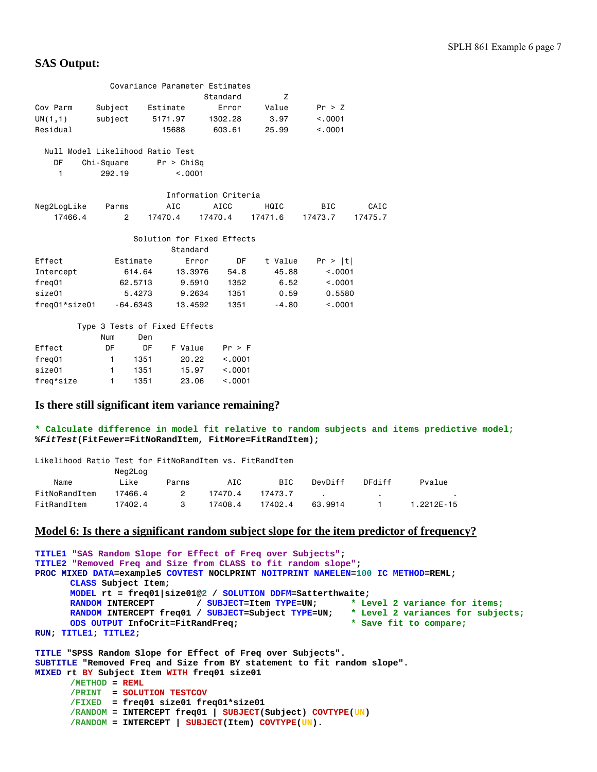# **SAS Output:**

|                                  |                      |                               | Covariance Parameter Estimates |         |            |         |
|----------------------------------|----------------------|-------------------------------|--------------------------------|---------|------------|---------|
|                                  |                      |                               | Standard                       | Z       |            |         |
| Cov Parm                         | Subject              | Estimate                      | Error                          | Value   | Pr > Z     |         |
| UN(1,1)                          | subject              | 5171.97                       | 1302.28                        | 3.97    | < 0.001    |         |
| Residual                         |                      | 15688                         | 603.61                         | 25.99   | < 0.001    |         |
|                                  |                      |                               |                                |         |            |         |
| Null Model Likelihood Ratio Test |                      |                               |                                |         |            |         |
| DF                               | Chi-Square           | Pr > Chisq                    |                                |         |            |         |
| 1                                | 292.19               | < .0001                       |                                |         |            |         |
|                                  |                      |                               |                                |         |            |         |
|                                  |                      |                               | Information Criteria           |         |            |         |
| Neg2LogLike                      | Parms                | AIC                           | AICC                           | HQIC    | <b>BIC</b> | CAIC    |
| 17466.4                          | $\mathbf{2}^{\circ}$ | 17470.4                       | 17470.4                        | 17471.6 | 17473.7    | 17475.7 |
|                                  |                      |                               |                                |         |            |         |
|                                  |                      |                               | Solution for Fixed Effects     |         |            |         |
|                                  |                      | Standard                      |                                |         |            |         |
| Effect                           | Estimate             |                               | DF<br>Error                    | t Value | Pr >  t    |         |
| Intercept                        | 614.64               |                               | 54.8<br>13,3976                | 45.88   | < .0001    |         |
| freg01                           | 62.5713              |                               | 9.5910<br>1352                 | 6.52    | < .0001    |         |
| size01                           | 5.4273               |                               | 9.2634<br>1351                 | 0.59    | 0.5580     |         |
| freq01*size01                    | $-64.6343$           |                               | 1351<br>13,4592                | $-4.80$ | < .0001    |         |
|                                  |                      |                               |                                |         |            |         |
|                                  |                      | Type 3 Tests of Fixed Effects |                                |         |            |         |
|                                  | Num                  | Den                           |                                |         |            |         |
| Effect                           | DF                   | F Value<br>DF                 | Pr > F                         |         |            |         |
| freg01                           | $\mathbf{1}$         | 1351                          | 20.22<br>< 0.0001              |         |            |         |
| size01                           | 1                    | 1351                          | 15.97<br>< .0001               |         |            |         |

### **Is there still significant item variance remaining?**

freq\*size 1 1351 23.06 <.0001

#### **\* Calculate difference in model fit relative to random subjects and items predictive model; %***FitTest***(FitFewer=FitNoRandItem, FitMore=FitRandItem);**

| Likelihood Ratio Test for FitNoRandItem vs. FitRandItem |         |               |         |         |         |        |            |  |  |
|---------------------------------------------------------|---------|---------------|---------|---------|---------|--------|------------|--|--|
|                                                         | Neg2Log |               |         |         |         |        |            |  |  |
| Name                                                    | Like    | Parms         | AIC     | BIC     | DevDiff | DFdiff | Pvalue     |  |  |
| FitNoRandItem                                           | 17466.4 | $\mathcal{P}$ | 17470.4 | 17473.7 |         |        |            |  |  |
| FitRandItem                                             | 17402.4 | 3             | 17408.4 | 17402.4 | 63.9914 |        | 1.2212F-15 |  |  |

### **Model 6: Is there a significant random subject slope for the item predictor of frequency?**

```
TITLE1 "SAS Random Slope for Effect of Freq over Subjects"; 
TITLE2 "Removed Freq and Size from CLASS to fit random slope"; 
PROC MIXED DATA=example5 COVTEST NOCLPRINT NOITPRINT NAMELEN=100 IC METHOD=REML; 
      CLASS Subject Item; 
      MODEL rt = freq01|size01@2 / SOLUTION DDFM=Satterthwaite; 
      RANDOM INTERCEPT / SUBJECT=Item TYPE=UN; * Level 2 variance for items;
      RANDOM INTERCEPT freq01 / SUBJECT=Subject TYPE=UN; * Level 2 variances for subjects; 
      ODS OUTPUT InfoCrit=FitRandFreq; * Save fit to compare;
RUN; TITLE1; TITLE2; 
TITLE "SPSS Random Slope for Effect of Freq over Subjects". 
SUBTITLE "Removed Freq and Size from BY statement to fit random slope". 
MIXED rt BY Subject Item WITH freq01 size01 
      /METHOD = REML
       /PRINT = SOLUTION TESTCOV 
       /FIXED = freq01 size01 freq01*size01 
      /RANDOM = INTERCEPT freq01 | SUBJECT(Subject) COVTYPE(UN) 
      /RANDOM = INTERCEPT | SUBJECT(Item) COVTYPE(UN).
```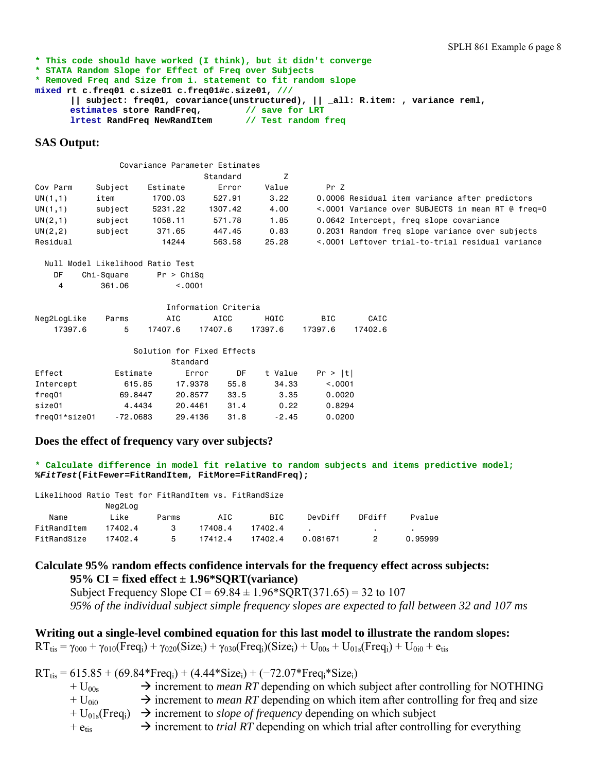```
* This code should have worked (I think), but it didn't converge 
* STATA Random Slope for Effect of Freq over Subjects 
* Removed Freq and Size from i. statement to fit random slope 
mixed rt c.freq01 c.size01 c.freq01#c.size01, /// 
       || subject: freq01, covariance(unstructured), || _all: R.item: , variance reml, 
       estimates store RandFreq, // save for LRT
       lrtest RandFreq NewRandItem // Test random freq
```
# **SAS Output:**

|          |         |                                  | Covariance Parameter Estimates |       |                                                   |
|----------|---------|----------------------------------|--------------------------------|-------|---------------------------------------------------|
|          |         |                                  | Standard                       |       |                                                   |
| Cov Parm | Subject | Estimate                         | Error                          | Value | Pr Z                                              |
| UN(1,1)  | item    | 1700.03                          | 527.91                         | 3.22  | 0.0006 Residual item variance after predictors    |
| UN(1,1)  | subject | 5231.22                          | 1307.42                        | 4,00  | <.0001 Variance over SUBJECTS in mean RT @ freq=0 |
| UN(2,1)  | subject | 1058.11                          | 571.78                         | 1.85  | 0.0642 Intercept, freq slope covariance           |
| UN(2, 2) | subject | 371.65                           | 447.45                         | 0.83  | 0.2031 Random freg slope variance over subjects   |
| Residual |         | 14244                            | 563.58                         | 25.28 | <.0001 Leftover trial-to-trial residual variance  |
|          |         | Null Model Likelihood Ratio Test |                                |       |                                                   |

| DF | Chi-Square | Pr > Chisq |
|----|------------|------------|
| Δ  | 361.06     | < 0.001    |

| Information Criteria |       |         |         |         |         |         |  |  |  |  |
|----------------------|-------|---------|---------|---------|---------|---------|--|--|--|--|
| Neg2LogLike          | Parms | AIC     | ATCC.   | HQTC.   | BTC.    | CATC    |  |  |  |  |
| 17397.6              |       | 17407.6 | 17407.6 | 17397.6 | 17397.6 | 17402.6 |  |  |  |  |

### Solution for Fixed Effects

|               |            | Standard |      |         |          |
|---------------|------------|----------|------|---------|----------|
| Effect        | Estimate   | Error    | DF   | t Value | Pr >  t  |
| Intercept     | 615.85     | 17.9378  | 55.8 | 34.33   | < 0.0001 |
| freg01        | 69,8447    | 20.8577  | 33.5 | 3.35    | 0.0020   |
| size01        | 4.4434     | 20.4461  | 31.4 | 0.22    | 0.8294   |
| freg01*size01 | $-72,0683$ | 29,4136  | 31.8 | $-2.45$ | 0.0200   |

### **Does the effect of frequency vary over subjects?**

**\* Calculate difference in model fit relative to random subjects and items predictive model; %***FitTest***(FitFewer=FitRandItem, FitMore=FitRandFreq);** 

|  |  |  |  |  |  | Likelihood Ratio Test for FitRandItem vs. FitRandSize |
|--|--|--|--|--|--|-------------------------------------------------------|
|--|--|--|--|--|--|-------------------------------------------------------|

|             | Neg2Log |       |         |         |          |        |         |
|-------------|---------|-------|---------|---------|----------|--------|---------|
| Name        | Like    | Parms | AIC     | BIC     | DevDiff  | DFdiff | Pvalue  |
| FitRandItem | 17402.4 | - 3   | 17408.4 | 17402.4 |          |        |         |
| FitRandSize | 17402.4 | 5.    | 17412.4 | 17402.4 | 0.081671 |        | 0.95999 |

# **Calculate 95% random effects confidence intervals for the frequency effect across subjects: 95% CI = fixed effect ± 1.96\*SQRT(variance)**

Subject Frequency Slope CI =  $69.84 \pm 1.96*$  SQRT(371.65) = 32 to 107 *95% of the individual subject simple frequency slopes are expected to fall between 32 and 107 ms* 

**Writing out a single-level combined equation for this last model to illustrate the random slopes:**   $RT_{\text{tis}} = \gamma_{000} + \gamma_{010} (Freq_i) + \gamma_{020} (Size_i) + \gamma_{030} (Freq_i) (Size_i) + U_{00s} + U_{01s} (Freq_i) + U_{0i0} + e_{\text{tis}})$ 

 $RT_{\text{tis}} = 615.85 + (69.84*Freq_i) + (4.44*Size_i) + (-72.07*Freq_i*Size_i)$ 

- $+ U_{00s}$   $\rightarrow$  increment to *mean RT* depending on which subject after controlling for NOTHING
- $+ U_{0i0} \rightarrow$  increment to *mean RT* depending on which item after controlling for freq and size
- $+ U_{01s}$ (Freq<sub>i</sub>)  $\rightarrow$  increment to *slope of frequency* depending on which subject
- $+ e_{\text{tis}} \rightarrow$  increment to *trial RT* depending on which trial after controlling for everything